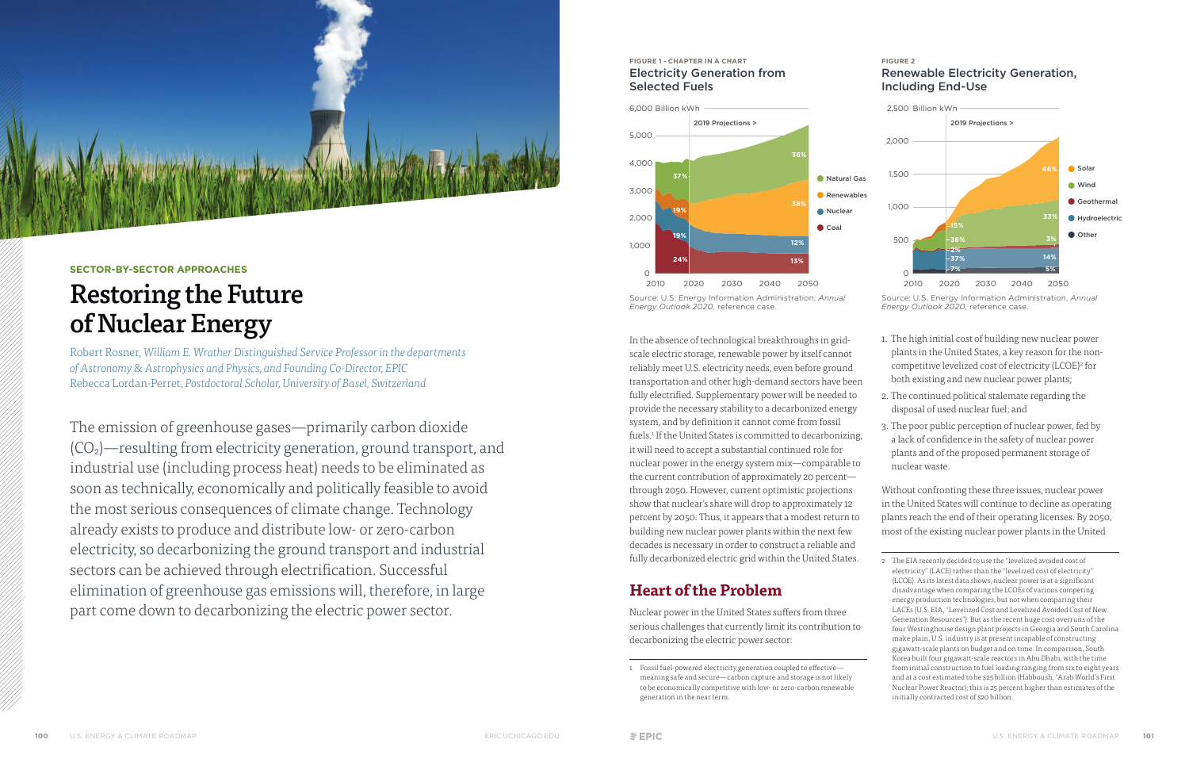In the absence of technological breakthroughs in gridscale electric storage, renewable power by itself cannot reliably meet U.S. electricity needs, even before ground transportation and other high-demand sectors have been fully electrified. Supplementary power will be needed to provide the necessary stability to a decarbonized energy system, and by definition it cannot come from fossil fuels.<sup>1</sup> If the United States is committed to decarbonizing, it will need to accept a substantial continued role for nuclear power in the energy system mix—comparable to the current contribution of approximately 20 percent through 2050. However, current optimistic projections show that nuclear's share will drop to approximately 12 percent by 2050. Thus, it appears that a modest return to building new nuclear power plants within the next few decades is necessary in order to construct a reliable and fully decarbonized electric grid within the United States.

Nuclear power in the United States suffers from three serious challenges that currently limit its contribution to decarbonizing the electric power sector:

## **Heart of the Problem**

- 1. The high initial cost of building new nuclear power plants in the United States, a key reason for the noncompetitive levelized cost of electricity (LCOE)<sup>2</sup> for both existing and new nuclear power plants;
- 2. The continued political stalemate regarding the disposal of used nuclear fuel; and
- 3. The poor public perception of nuclear power, fed by a lack of confidence in the safety of nuclear power plants and of the proposed permanent storage of nuclear waste.

Without confronting these three issues, nuclear power in the United States will continue to decline as operating plants reach the end of their operating licenses. By 2050, most of the existing nuclear power plants in the United



#### **SECTOR-BY-SECTOR APPROACHES**

# Restoring the Future of Nuclear Energy

Robert Rosner, *William E. Wrather Distinguished Service Professor in the departments of Astronomy & Astrophysics and Physics, and Founding Co-Director, EPIC* Rebecca Lordan-Perret, *Postdoctoral Scholar, University of Basel, Switzerland*

The emission of greenhouse gases—primarily carbon dioxide (CO2)—resulting from electricity generation, ground transport, and industrial use (including process heat) needs to be eliminated as soon as technically, economically and politically feasible to avoid the most serious consequences of climate change. Technology already exists to produce and distribute low- or zero-carbon electricity, so decarbonizing the ground transport and industrial sectors can be achieved through electrification. Successful elimination of greenhouse gas emissions will, therefore, in large part come down to decarbonizing the electric power sector.

#### **FIGURE 1 - CHAPTER IN A CHART** Electricity Generation from Selected Fuels



Source: U.S. Energy Information Administration, *Annual Energy Outlook 2020,* reference case.



#### **FIGURE 2** Renewable Electricity Generation, Including End-Use

Source: U.S. Energy Information Administration, *Annual Energy Outlook 2020,* reference case.

<sup>1</sup> Fossil fuel-powered electricity generation coupled to effectivemeaning safe and secure—carbon capture and storage is not likely to be economically competitive with low- or zero-carbon renewable generation in the near term.

<sup>2</sup> The EIA recently decided to use the "levelized avoided cost of electricity" (LACE) rather than the "levelized cost of electricity" (LCOE). As its latest data shows, nuclear power is at a significant disadvantage when comparing the LCOEs of various competing energy production technologies, but not when comparing their LACEs (U.S. EIA, "Levelized Cost and Levelized Avoided Cost of New Generation Resources"). But as the recent huge cost overruns of the four Westinghouse design plant projects in Georgia and South Carolina make plain, U.S. industry is at present incapable of constructing gigawatt-scale plants on budget and on time. In comparison, South Korea built four gigawatt-scale reactors in Abu Dhabi, with the time from initial construction to fuel loading ranging from six to eight years and at a cost estimated to be \$25 billion (Habboush, "Arab World's First Nuclear Power Reactor); this is 25 percent higher than estimates of the initially contracted cost of \$20 billion.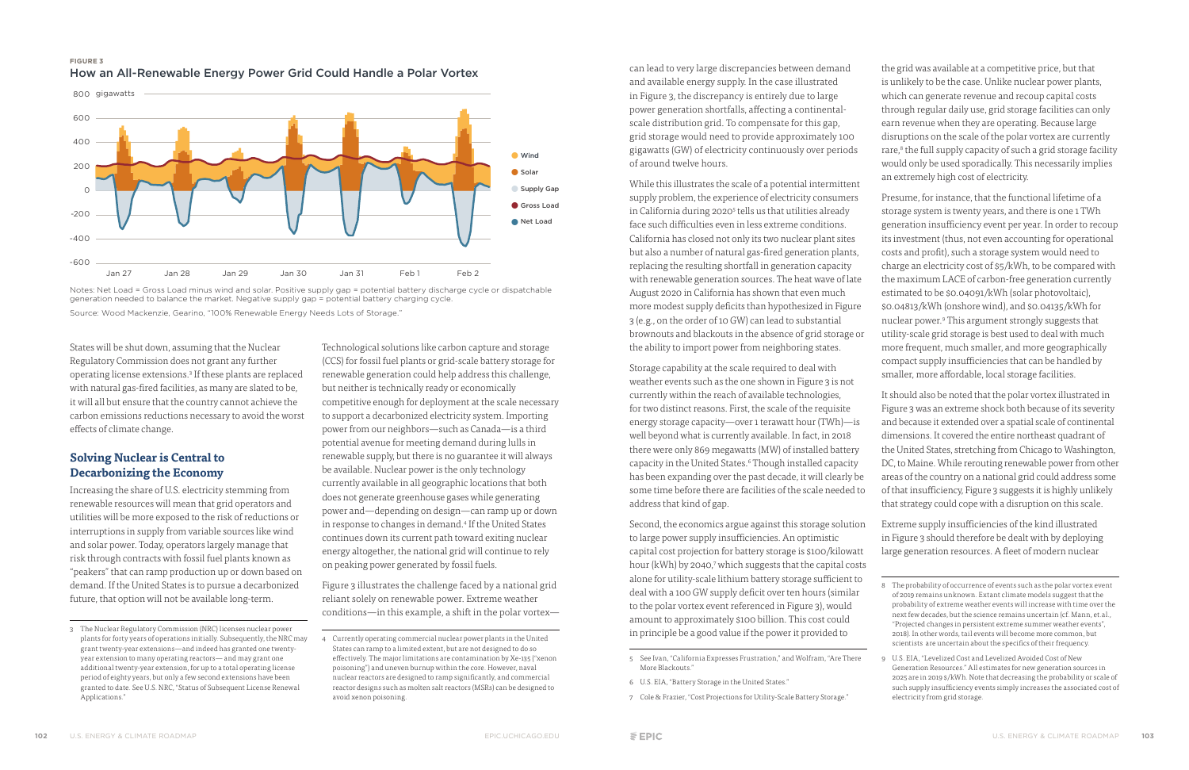can lead to very large discrepancies between demand and available energy supply. In the case illustrated in Figure 3, the discrepancy is entirely due to large power generation shortfalls, affecting a continentalscale distribution grid. To compensate for this gap, grid storage would need to provide approximately 100 gigawatts (GW) of electricity continuously over periods of around twelve hours.

While this illustrates the scale of a potential intermittent supply problem, the experience of electricity consumers in California during 2020<sup>5</sup> tells us that utilities already face such difficulties even in less extreme conditions. California has closed not only its two nuclear plant sites but also a number of natural gas-fired generation plants, replacing the resulting shortfall in generation capacity with renewable generation sources. The heat wave of late August 2020 in California has shown that even much more modest supply deficits than hypothesized in Figure 3 (e.g., on the order of 10 GW) can lead to substantial brownouts and blackouts in the absence of grid storage or the ability to import power from neighboring states.

Storage capability at the scale required to deal with weather events such as the one shown in Figure 3 is not currently within the reach of available technologies, for two distinct reasons. First, the scale of the requisite energy storage capacity—over 1 terawatt hour (TWh)—is well beyond what is currently available. In fact, in 2018 there were only 869 megawatts (MW) of installed battery capacity in the United States.<sup>6</sup> Though installed capacity has been expanding over the past decade, it will clearly be some time before there are facilities of the scale needed to address that kind of gap.

Presume, for instance, that the functional lifetime of a storage system is twenty years, and there is one 1 TWh generation insufficiency event per year. In order to recoup its investment (thus, not even accounting for operational costs and profit), such a storage system would need to charge an electricity cost of \$5/kWh, to be compared with the maximum LACE of carbon-free generation currently estimated to be \$0.04091/kWh (solar photovoltaic), \$0.04813/kWh (onshore wind), and \$0.04135/kWh for nuclear power.9 This argument strongly suggests that utility-scale grid storage is best used to deal with much more frequent, much smaller, and more geographically compact supply insufficiencies that can be handled by smaller, more affordable, local storage facilities.

Second, the economics argue against this storage solution to large power supply insufficiencies. An optimistic capital cost projection for battery storage is \$100/kilowatt hour (kWh) by 2040,<sup>7</sup> which suggests that the capital costs alone for utility-scale lithium battery storage sufficient to deal with a 100 GW supply deficit over ten hours (similar to the polar vortex event referenced in Figure 3), would amount to approximately \$100 billion. This cost could in principle be a good value if the power it provided to

7 Cole & Frazier, "Cost Projections for Utility-Scale Battery Storage."

States will be shut down, assuming that the Nuclear Regulatory Commission does not grant any further operating license extensions.<sup>3</sup> If these plants are replaced with natural gas-fired facilities, as many are slated to be, it will all but ensure that the country cannot achieve the carbon emissions reductions necessary to avoid the worst effects of climate change.

the grid was available at a competitive price, but that is unlikely to be the case. Unlike nuclear power plants, which can generate revenue and recoup capital costs through regular daily use, grid storage facilities can only earn revenue when they are operating. Because large disruptions on the scale of the polar vortex are currently rare,<sup>8</sup> the full supply capacity of such a grid storage facility would only be used sporadically. This necessarily implies an extremely high cost of electricity.

It should also be noted that the polar vortex illustrated in Figure 3 was an extreme shock both because of its severity and because it extended over a spatial scale of continental dimensions. It covered the entire northeast quadrant of the United States, stretching from Chicago to Washington, DC, to Maine. While rerouting renewable power from other areas of the country on a national grid could address some of that insufficiency, Figure 3 suggests it is highly unlikely that strategy could cope with a disruption on this scale.

Extreme supply insufficiencies of the kind illustrated in Figure 3 should therefore be dealt with by deploying large generation resources. A fleet of modern nuclear

### **Solving Nuclear is Central to Decarbonizing the Economy**

Increasing the share of U.S. electricity stemming from renewable resources will mean that grid operators and utilities will be more exposed to the risk of reductions or interruptions in supply from variable sources like wind and solar power. Today, operators largely manage that risk through contracts with fossil fuel plants known as "peakers" that can ramp production up or down based on demand. If the United States is to pursue a decarbonized future, that option will not be available long-term.

Technological solutions like carbon capture and storage (CCS) for fossil fuel plants or grid-scale battery storage for renewable generation could help address this challenge, but neither is technically ready or economically competitive enough for deployment at the scale necessary to support a decarbonized electricity system. Importing power from our neighbors—such as Canada—is a third potential avenue for meeting demand during lulls in renewable supply, but there is no guarantee it will always be available. Nuclear power is the only technology currently available in all geographic locations that both does not generate greenhouse gases while generating power and—depending on design—can ramp up or down in response to changes in demand.4 If the United States continues down its current path toward exiting nuclear energy altogether, the national grid will continue to rely on peaking power generated by fossil fuels.

Figure 3 illustrates the challenge faced by a national grid reliant solely on renewable power. Extreme weather conditions—in this example, a shift in the polar vortex—





Notes: Net Load = Gross Load minus wind and solar. Positive supply gap = potential battery discharge cycle or dispatchable generation needed to balance the market. Negative supply gap = potential battery charging cycle.

Source: Wood Mackenzie, Gearino, "100% Renewable Energy Needs Lots of Storage."

<sup>8</sup> The probability of occurrence of events such as the polar vortex event of 2019 remains unknown. Extant climate models suggest that the probability of extreme weather events will increase with time over the next few decades, but the science remains uncertain (cf. Mann, et.al., "Projected changes in persistent extreme summer weather events", 2018). In other words, tail events will become more common, but scientists are uncertain about the specifics of their frequency.

<sup>5</sup> See Ivan, "California Expresses Frustration," and Wolfram, "Are There More Blackouts."

<sup>6</sup> U.S. EIA, "Battery Storage in the United States."

U.S. EIA, "Levelized Cost and Levelized Avoided Cost of New Generation Resources." All estimates for new generation sources in 2025 are in 2019 \$/kWh. Note that decreasing the probability or scale of such supply insufficiency events simply increases the associated cost of electricity from grid storage.

<sup>3</sup> The Nuclear Regulatory Commission (NRC) licenses nuclear power plants for forty years of operations initially. Subsequently, the NRC may grant twenty-year extensions—and indeed has granted one twentyyear extension to many operating reactors— and may grant one additional twenty-year extension, for up to a total operating license period of eighty years, but only a few second extensions have been granted to date. See U.S. NRC, "Status of Subsequent License Renewal Applications."

<sup>4</sup> Currently operating commercial nuclear power plants in the United States can ramp to a limited extent, but are not designed to do so effectively. The major limitations are contamination by Xe-135 ("xenon poisoning") and uneven burnup within the core. However, naval nuclear reactors are designed to ramp significantly, and commercial reactor designs such as molten salt reactors (MSRs) can be designed to avoid xenon poisoning.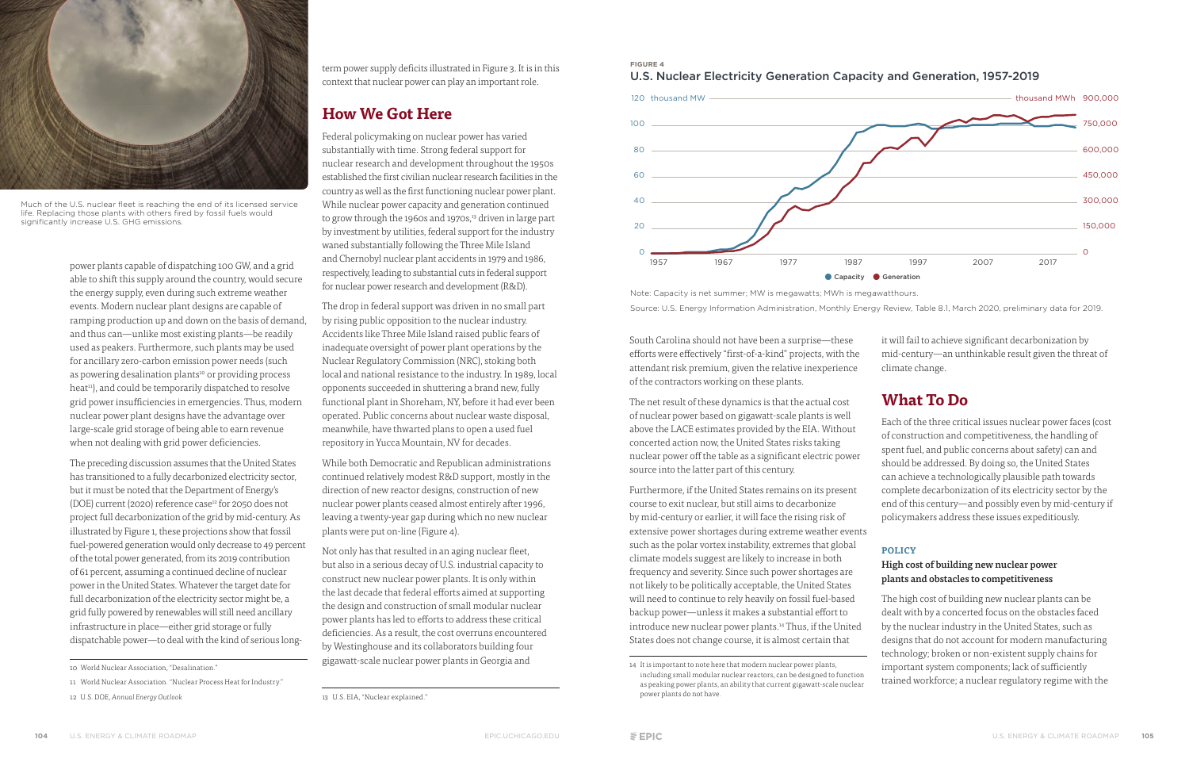South Carolina should not have been a surprise—these efforts were effectively "first-of-a-kind" projects, with the attendant risk premium, given the relative inexperience of the contractors working on these plants.

The net result of these dynamics is that the actual cost of nuclear power based on gigawatt-scale plants is well above the LACE estimates provided by the EIA. Without concerted action now, the United States risks taking nuclear power off the table as a significant electric power source into the latter part of this century.

it will fail to achieve significant decarbonization by mid-century—an unthinkable result given the threat of climate change.

Furthermore, if the United States remains on its present course to exit nuclear, but still aims to decarbonize by mid-century or earlier, it will face the rising risk of extensive power shortages during extreme weather events such as the polar vortex instability, extremes that global climate models suggest are likely to increase in both frequency and severity. Since such power shortages are not likely to be politically acceptable, the United States will need to continue to rely heavily on fossil fuel-based backup power—unless it makes a substantial effort to introduce new nuclear power plants.14 Thus, if the United States does not change course, it is almost certain that

power plants capable of dispatching 100 GW, and a grid able to shift this supply around the country, would secure the energy supply, even during such extreme weather events. Modern nuclear plant designs are capable of ramping production up and down on the basis of demand, and thus can—unlike most existing plants—be readily used as peakers. Furthermore, such plants may be used for ancillary zero-carbon emission power needs (such as powering desalination plants<sup>10</sup> or providing process heat<sup>11</sup>), and could be temporarily dispatched to resolve grid power insufficiencies in emergencies. Thus, modern nuclear power plant designs have the advantage over large-scale grid storage of being able to earn revenue when not dealing with grid power deficiencies.

## **What To Do**

Each of the three critical issues nuclear power faces (cost of construction and competitiveness, the handling of spent fuel, and public concerns about safety) can and should be addressed. By doing so, the United States can achieve a technologically plausible path towards complete decarbonization of its electricity sector by the end of this century—and possibly even by mid-century if policymakers address these issues expeditiously.

#### **POLICY**

#### High cost of building new nuclear power plants and obstacles to competitiveness

term power supply deficits illustrated in Figure 3. It is in this context that nuclear power can play an important role.

> The high cost of building new nuclear plants can be dealt with by a concerted focus on the obstacles faced by the nuclear industry in the United States, such as designs that do not account for modern manufacturing technology; broken or non-existent supply chains for important system components; lack of sufficiently trained workforce; a nuclear regulatory regime with the

Not only has that resulted in an aging nuclear fleet, but also in a serious decay of U.S. industrial capacity to construct new nuclear power plants. It is only within the last decade that federal efforts aimed at supporting the design and construction of small modular nuclear power plants has led to efforts to address these critical deficiencies. As a result, the cost overruns encountered by Westinghouse and its collaborators building four gigawatt-scale nuclear power plants in Georgia and

The preceding discussion assumes that the United States has transitioned to a fully decarbonized electricity sector, but it must be noted that the Department of Energy's (DOE) current (2020) reference case<sup>12</sup> for 2050 does not project full decarbonization of the grid by mid-century. As illustrated by Figure 1, these projections show that fossil fuel-powered generation would only decrease to 49 percent of the total power generated, from its 2019 contribution of 61 percent, assuming a continued decline of nuclear power in the United States. Whatever the target date for full decarbonization of the electricity sector might be, a grid fully powered by renewables will still need ancillary infrastructure in place—either grid storage or fully dispatchable power—to deal with the kind of serious long-

### **How We Got Here**

Federal policymaking on nuclear power has varied substantially with time. Strong federal support for nuclear research and development throughout the 1950s established the first civilian nuclear research facilities in the country as well as the first functioning nuclear power plant. While nuclear power capacity and generation continued to grow through the 1960s and 1970s,<sup>13</sup> driven in large part by investment by utilities, federal support for the industry waned substantially following the Three Mile Island and Chernobyl nuclear plant accidents in 1979 and 1986, respectively, leading to substantial cuts in federal support for nuclear power research and development (R&D).

The drop in federal support was driven in no small part by rising public opposition to the nuclear industry. Accidents like Three Mile Island raised public fears of inadequate oversight of power plant operations by the Nuclear Regulatory Commission (NRC), stoking both local and national resistance to the industry. In 1989, local opponents succeeded in shuttering a brand new, fully functional plant in Shoreham, NY, before it had ever been operated. Public concerns about nuclear waste disposal, meanwhile, have thwarted plans to open a used fuel repository in Yucca Mountain, NV for decades.

While both Democratic and Republican administrations continued relatively modest R&D support, mostly in the direction of new reactor designs, construction of new nuclear power plants ceased almost entirely after 1996, leaving a twenty-year gap during which no new nuclear plants were put on-line (Figure 4).

### **FIGURE 4**





Note: Capacity is net summer; MW is megawatts; MWh is megawatthours. Source: U.S. Energy Information Administration, Monthly Energy Review, Table 8.1, March 2020, preliminary data for 2019.



Much of the U.S. nuclear fleet is reaching the end of its licensed service life. Replacing those plants with others fired by fossil fuels would significantly increase U.S. GHG emissions.

<sup>14</sup> It is important to note here that modern nuclear power plants, including small modular nuclear reactors, can be designed to function as peaking power plants, an ability that current gigawatt-scale nuclear power plants do not have.

<sup>10</sup> World Nuclear Association, "Desalination."

<sup>11</sup> World Nuclear Association. "Nuclear Process Heat for Industry."

<sup>12</sup> U.S. DOE, *Annual Energy Outlook*

<sup>13</sup> U.S. EIA, "Nuclear explained."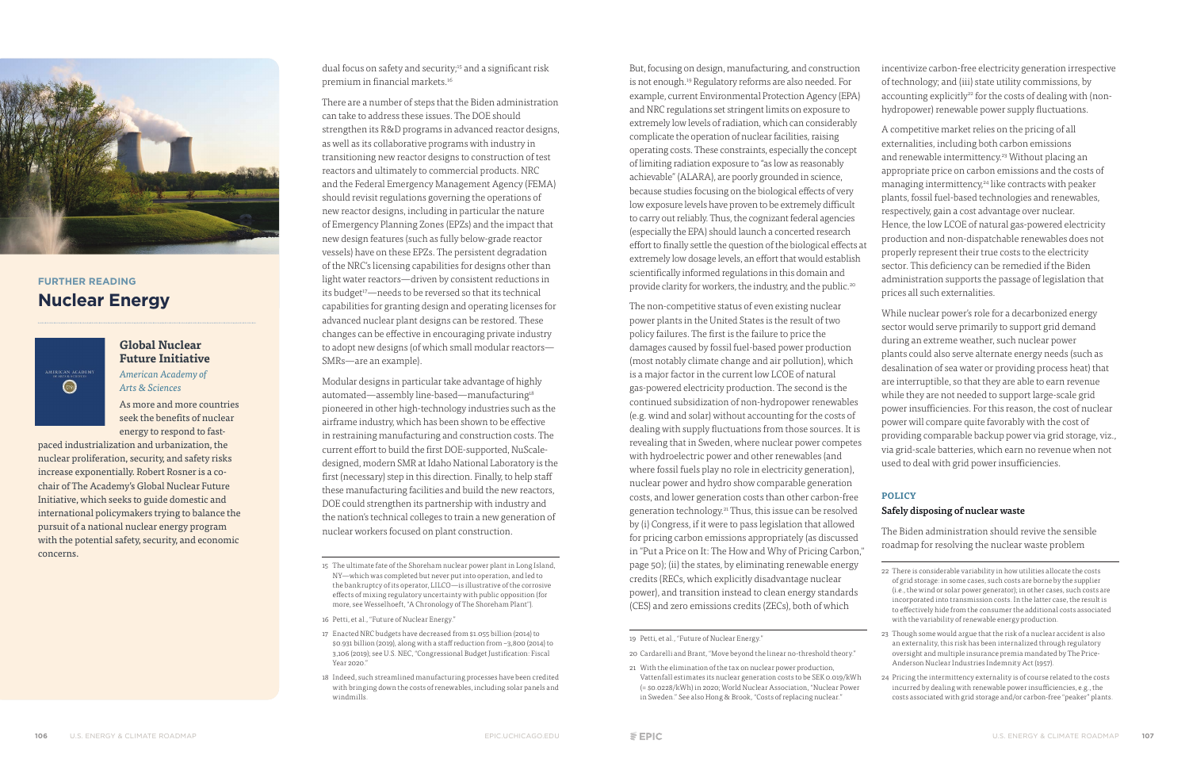But, focusing on design, manufacturing, and construction is not enough.<sup>19</sup> Regulatory reforms are also needed. For example, current Environmental Protection Agency (EPA) and NRC regulations set stringent limits on exposure to extremely low levels of radiation, which can considerably complicate the operation of nuclear facilities, raising operating costs. These constraints, especially the concept of limiting radiation exposure to "as low as reasonably achievable" (ALARA), are poorly grounded in science, because studies focusing on the biological effects of very low exposure levels have proven to be extremely difficult to carry out reliably. Thus, the cognizant federal agencies (especially the EPA) should launch a concerted research effort to finally settle the question of the biological effects at extremely low dosage levels, an effort that would establish scientifically informed regulations in this domain and provide clarity for workers, the industry, and the public.20

incentivize carbon-free electricity generation irrespective of technology; and (iii) state utility commissions, by accounting explicitly<sup>22</sup> for the costs of dealing with (nonhydropower) renewable power supply fluctuations.

The non-competitive status of even existing nuclear power plants in the United States is the result of two policy failures. The first is the failure to price the damages caused by fossil fuel-based power production (most notably climate change and air pollution), which is a major factor in the current low LCOE of natural gas-powered electricity production. The second is the continued subsidization of non-hydropower renewables (e.g. wind and solar) without accounting for the costs of dealing with supply fluctuations from those sources. It is revealing that in Sweden, where nuclear power competes with hydroelectric power and other renewables (and where fossil fuels play no role in electricity generation), nuclear power and hydro show comparable generation costs, and lower generation costs than other carbon-free generation technology.21 Thus, this issue can be resolved by (i) Congress, if it were to pass legislation that allowed for pricing carbon emissions appropriately (as discussed in "Put a Price on It: The How and Why of Pricing Carbon," page 50); (ii) the states, by eliminating renewable energy credits (RECs, which explicitly disadvantage nuclear power), and transition instead to clean energy standards (CES) and zero emissions credits (ZECs), both of which

While nuclear power's role for a decarbonized energy sector would serve primarily to support grid demand during an extreme weather, such nuclear power plants could also serve alternate energy needs (such as desalination of sea water or providing process heat) that are interruptible, so that they are able to earn revenue while they are not needed to support large-scale grid power insufficiencies. For this reason, the cost of nuclear power will compare quite favorably with the cost of providing comparable backup power via grid storage, viz., via grid-scale batteries, which earn no revenue when not used to deal with grid power insufficiencies.

A competitive market relies on the pricing of all externalities, including both carbon emissions and renewable intermittency.<sup>23</sup> Without placing an appropriate price on carbon emissions and the costs of managing intermittency,<sup>24</sup> like contracts with peaker plants, fossil fuel-based technologies and renewables, respectively, gain a cost advantage over nuclear. Hence, the low LCOE of natural gas-powered electricity production and non-dispatchable renewables does not properly represent their true costs to the electricity sector. This deficiency can be remedied if the Biden administration supports the passage of legislation that prices all such externalities.

#### **POLICY**

#### Safely disposing of nuclear waste

The Biden administration should revive the sensible roadmap for resolving the nuclear waste problem

- 22 There is considerable variability in how utilities allocate the costs of grid storage: in some cases, such costs are borne by the supplier (i.e., the wind or solar power generator); in other cases, such costs are incorporated into transmission costs. In the latter case, the result is to effectively hide from the consumer the additional costs associated with the variability of renewable energy production.
- 23 Though some would argue that the risk of a nuclear accident is also an externality, this risk has been internalized through regulatory oversight and multiple insurance premia mandated by The Price-Anderson Nuclear Industries Indemnity Act (1957).
- 24 Pricing the intermittency externality is of course related to the costs incurred by dealing with renewable power insufficiencies, e.g., the costs associated with grid storage and/or carbon-free "peaker" plants.

There are a number of steps that the Biden administration can take to address these issues. The DOE should strengthen its R&D programs in advanced reactor designs, as well as its collaborative programs with industry in transitioning new reactor designs to construction of test reactors and ultimately to commercial products. NRC and the Federal Emergency Management Agency (FEMA) should revisit regulations governing the operations of new reactor designs, including in particular the nature of Emergency Planning Zones (EPZs) and the impact that new design features (such as fully below-grade reactor vessels) have on these EPZs. The persistent degradation of the NRC's licensing capabilities for designs other than light water reactors—driven by consistent reductions in its budget<sup>17</sup>—needs to be reversed so that its technical capabilities for granting design and operating licenses for advanced nuclear plant designs can be restored. These changes can be effective in encouraging private industry to adopt new designs (of which small modular reactors— SMRs—are an example).

Modular designs in particular take advantage of highly automated—assembly line-based—manufacturing<sup>18</sup> pioneered in other high-technology industries such as the airframe industry, which has been shown to be effective in restraining manufacturing and construction costs. The current effort to build the first DOE-supported, NuScaledesigned, modern SMR at Idaho National Laboratory is the first (necessary) step in this direction. Finally, to help staff these manufacturing facilities and build the new reactors, DOE could strengthen its partnership with industry and the nation's technical colleges to train a new generation of nuclear workers focused on plant construction.

- 16 Petti, et al., "Future of Nuclear Energy."
- 17 Enacted NRC budgets have decreased from \$1.055 billion (2014) to  $$0.931$  billion (2019), along with a staff reduction from ~3,800 (2014) to 3,106 (2019); see U.S. NEC, "Congressional Budget Justification: Fiscal Year 2020."
- 18 Indeed, such streamlined manufacturing processes have been credited with bringing down the costs of renewables, including solar panels and windmills.



### **FURTHER READING Nuclear Energy**



#### **Global Nuclear Future Initiative** *American Academy of Arts & Sciences*

As more and more countries seek the benefits of nuclear energy to respond to fast-

paced industrialization and urbanization, the nuclear proliferation, security, and safety risks increase exponentially. Robert Rosner is a cochair of The Academy's Global Nuclear Future Initiative, which seeks to guide domestic and international policymakers trying to balance the pursuit of a national nuclear energy program with the potential safety, security, and economic concerns.

dual focus on safety and security;<sup>15</sup> and a significant risk premium in financial markets.<sup>16</sup>

<sup>19</sup> Petti, et al., "Future of Nuclear Energy."

<sup>20</sup> Cardarelli and Brant, "Move beyond the linear no-threshold theory."

<sup>21</sup> With the elimination of the tax on nuclear power production, Vattenfall estimates its nuclear generation costs to be SEK 0.019/kWh (= \$0.0228/kWh) in 2020; World Nuclear Association, "Nuclear Power in Sweden." See also Hong & Brook, "Costs of replacing nuclear."

<sup>15</sup> The ultimate fate of the Shoreham nuclear power plant in Long Island, NY—which was completed but never put into operation, and led to the bankruptcy of its operator, LILCO—is illustrative of the corrosive effects of mixing regulatory uncertainty with public opposition (for more, see Wesselhoeft, "A Chronology of The Shoreham Plant").